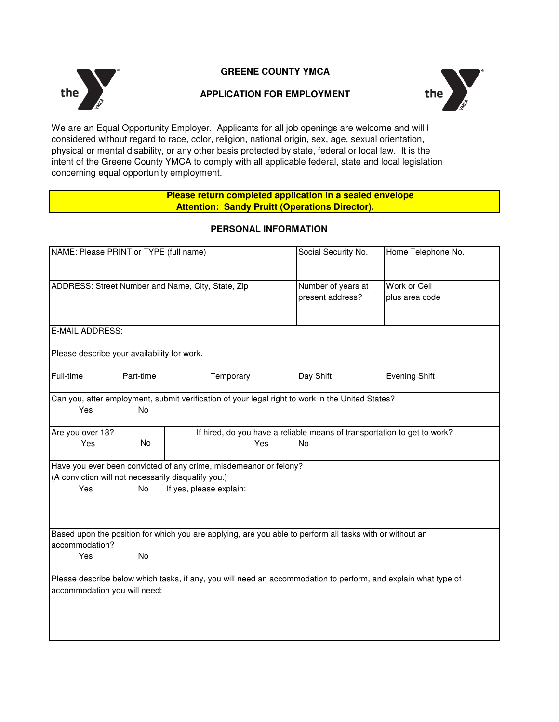

## **GREENE COUNTY YMCA**

#### **APPLICATION FOR EMPLOYMENT**



We are an Equal Opportunity Employer. Applicants for all job openings are welcome and will l considered without regard to race, color, religion, national origin, sex, age, sexual orientation, physical or mental disability, or any other basis protected by state, federal or local law. It is the intent of the Greene County YMCA to comply with all applicable federal, state and local legislation concerning equal opportunity employment.

#### **Please return completed application in a sealed envelope Attention: Sandy Pruitt (Operations Director).**

| NAME: Please PRINT or TYPE (full name)                                                                                                         |           |                                                                                                          | Social Security No.                                                      | Home Telephone No.   |  |
|------------------------------------------------------------------------------------------------------------------------------------------------|-----------|----------------------------------------------------------------------------------------------------------|--------------------------------------------------------------------------|----------------------|--|
|                                                                                                                                                |           |                                                                                                          |                                                                          |                      |  |
| ADDRESS: Street Number and Name, City, State, Zip                                                                                              |           |                                                                                                          | Number of years at                                                       | Work or Cell         |  |
|                                                                                                                                                |           |                                                                                                          | present address?                                                         | plus area code       |  |
|                                                                                                                                                |           |                                                                                                          |                                                                          |                      |  |
| E-MAIL ADDRESS:                                                                                                                                |           |                                                                                                          |                                                                          |                      |  |
| Please describe your availability for work.                                                                                                    |           |                                                                                                          |                                                                          |                      |  |
| Full-time                                                                                                                                      | Part-time | Temporary                                                                                                | Day Shift                                                                | <b>Evening Shift</b> |  |
|                                                                                                                                                |           | Can you, after employment, submit verification of your legal right to work in the United States?         |                                                                          |                      |  |
| Yes                                                                                                                                            | No        |                                                                                                          |                                                                          |                      |  |
| Are you over 18?                                                                                                                               |           |                                                                                                          | If hired, do you have a reliable means of transportation to get to work? |                      |  |
| Yes                                                                                                                                            | <b>No</b> | Yes                                                                                                      | No                                                                       |                      |  |
|                                                                                                                                                |           | Have you ever been convicted of any crime, misdemeanor or felony?                                        |                                                                          |                      |  |
| (A conviction will not necessarily disqualify you.)                                                                                            |           |                                                                                                          |                                                                          |                      |  |
| Yes                                                                                                                                            | No        | If yes, please explain:                                                                                  |                                                                          |                      |  |
|                                                                                                                                                |           |                                                                                                          |                                                                          |                      |  |
|                                                                                                                                                |           |                                                                                                          |                                                                          |                      |  |
| accommodation?                                                                                                                                 |           | Based upon the position for which you are applying, are you able to perform all tasks with or without an |                                                                          |                      |  |
| Yes                                                                                                                                            | <b>No</b> |                                                                                                          |                                                                          |                      |  |
| Please describe below which tasks, if any, you will need an accommodation to perform, and explain what type of<br>accommodation you will need: |           |                                                                                                          |                                                                          |                      |  |
|                                                                                                                                                |           |                                                                                                          |                                                                          |                      |  |
|                                                                                                                                                |           |                                                                                                          |                                                                          |                      |  |
|                                                                                                                                                |           |                                                                                                          |                                                                          |                      |  |
|                                                                                                                                                |           |                                                                                                          |                                                                          |                      |  |

#### **PERSONAL INFORMATION**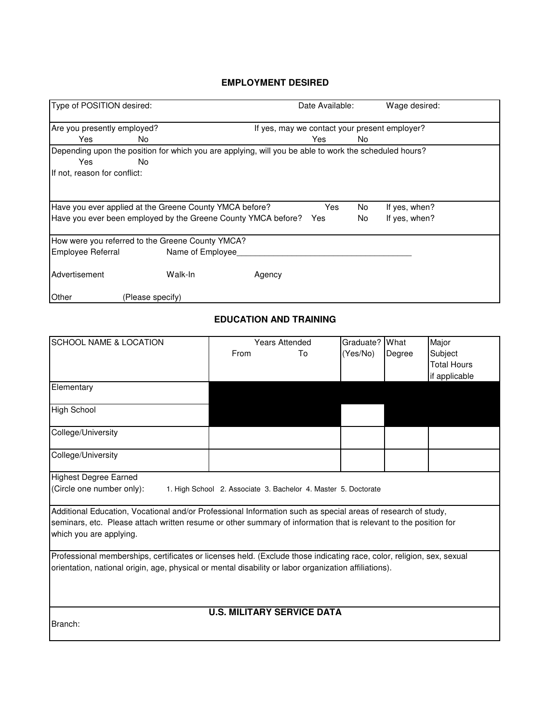#### **EMPLOYMENT DESIRED**

| Type of POSITION desired:                                                                                                    |                                                                                                       |                                               | Date Available: |          | Wage desired:                  |  |  |
|------------------------------------------------------------------------------------------------------------------------------|-------------------------------------------------------------------------------------------------------|-----------------------------------------------|-----------------|----------|--------------------------------|--|--|
| Are you presently employed?                                                                                                  |                                                                                                       | If yes, may we contact your present employer? |                 |          |                                |  |  |
| Yes                                                                                                                          | No.                                                                                                   |                                               | Yes             | No       |                                |  |  |
|                                                                                                                              | Depending upon the position for which you are applying, will you be able to work the scheduled hours? |                                               |                 |          |                                |  |  |
| Yes<br>No.                                                                                                                   |                                                                                                       |                                               |                 |          |                                |  |  |
| If not, reason for conflict:                                                                                                 |                                                                                                       |                                               |                 |          |                                |  |  |
| Have you ever applied at the Greene County YMCA before?<br>Have you ever been employed by the Greene County YMCA before? Yes |                                                                                                       |                                               | Yes             | No<br>No | If yes, when?<br>If yes, when? |  |  |
|                                                                                                                              | How were you referred to the Greene County YMCA?                                                      |                                               |                 |          |                                |  |  |
| Employee Referral                                                                                                            | Name of Employee                                                                                      |                                               |                 |          |                                |  |  |
| Advertisement                                                                                                                | Walk-In                                                                                               | Agency                                        |                 |          |                                |  |  |
| Other                                                                                                                        | (Please specify)                                                                                      |                                               |                 |          |                                |  |  |

## **EDUCATION AND TRAINING**

| <b>SCHOOL NAME &amp; LOCATION</b>                                                                                     |                                                                                                              | <b>Years Attended</b> | Graduate? | What   | Major              |  |
|-----------------------------------------------------------------------------------------------------------------------|--------------------------------------------------------------------------------------------------------------|-----------------------|-----------|--------|--------------------|--|
|                                                                                                                       | From                                                                                                         | To                    | (Yes/No)  | Degree | Subject            |  |
|                                                                                                                       |                                                                                                              |                       |           |        | <b>Total Hours</b> |  |
|                                                                                                                       |                                                                                                              |                       |           |        | if applicable      |  |
| Elementary                                                                                                            |                                                                                                              |                       |           |        |                    |  |
| High School                                                                                                           |                                                                                                              |                       |           |        |                    |  |
|                                                                                                                       |                                                                                                              |                       |           |        |                    |  |
| College/University                                                                                                    |                                                                                                              |                       |           |        |                    |  |
| College/University                                                                                                    |                                                                                                              |                       |           |        |                    |  |
| <b>Highest Degree Earned</b>                                                                                          |                                                                                                              |                       |           |        |                    |  |
| (Circle one number only):<br>1. High School 2. Associate 3. Bachelor 4. Master 5. Doctorate                           |                                                                                                              |                       |           |        |                    |  |
|                                                                                                                       | Additional Education, Vocational and/or Professional Information such as special areas of research of study, |                       |           |        |                    |  |
| seminars, etc. Please attach written resume or other summary of information that is relevant to the position for      |                                                                                                              |                       |           |        |                    |  |
| which you are applying.                                                                                               |                                                                                                              |                       |           |        |                    |  |
| Professional memberships, certificates or licenses held. (Exclude those indicating race, color, religion, sex, sexual |                                                                                                              |                       |           |        |                    |  |
| orientation, national origin, age, physical or mental disability or labor organization affiliations).                 |                                                                                                              |                       |           |        |                    |  |
|                                                                                                                       |                                                                                                              |                       |           |        |                    |  |
|                                                                                                                       |                                                                                                              |                       |           |        |                    |  |
| <b>U.S. MILITARY SERVICE DATA</b>                                                                                     |                                                                                                              |                       |           |        |                    |  |
| Branch:                                                                                                               |                                                                                                              |                       |           |        |                    |  |
|                                                                                                                       |                                                                                                              |                       |           |        |                    |  |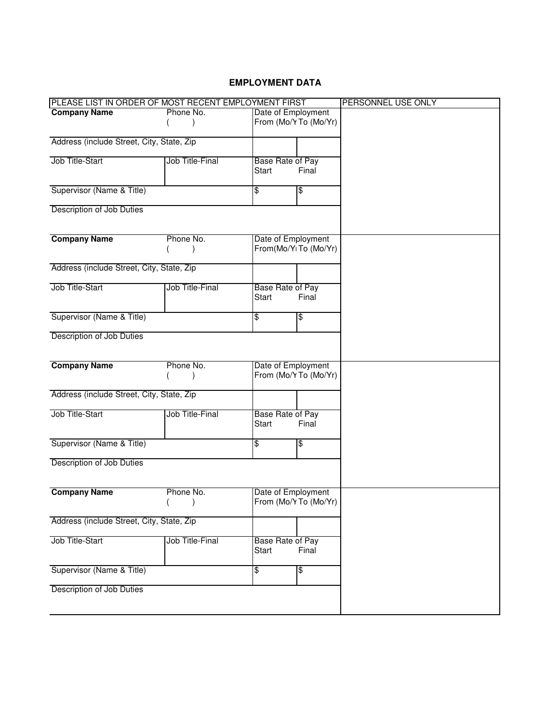### **EMPLOYMENT DATA**

| PLEASE LIST IN ORDER OF MOST RECENT EMPLOYMENT FIRST |                        |                    |                                   | PERSONNEL USE ONLY |
|------------------------------------------------------|------------------------|--------------------|-----------------------------------|--------------------|
| <b>Company Name</b>                                  | Phone No.              | Date of Employment |                                   |                    |
|                                                      |                        |                    | From (Mo/Y To (Mo/Yr)             |                    |
|                                                      |                        |                    |                                   |                    |
| Address (include Street, City, State, Zip            |                        |                    |                                   |                    |
| Job Title-Start                                      | Job Title-Final        | Base Rate of Pay   |                                   |                    |
|                                                      |                        | Start              | Final                             |                    |
|                                                      |                        |                    |                                   |                    |
| Supervisor (Name & Title)                            |                        | \$                 | \$                                |                    |
|                                                      |                        |                    |                                   |                    |
| Description of Job Duties                            |                        |                    |                                   |                    |
|                                                      |                        |                    |                                   |                    |
| <b>Company Name</b>                                  | Phone No.              |                    | Date of Employment                |                    |
|                                                      |                        |                    | From(Mo/Y <sub>1</sub> To (Mo/Yr) |                    |
|                                                      |                        |                    |                                   |                    |
| Address (include Street, City, State, Zip            |                        |                    |                                   |                    |
|                                                      |                        |                    |                                   |                    |
| Job Title-Start                                      | <b>Job Title-Final</b> | Base Rate of Pay   |                                   |                    |
|                                                      |                        | Start              | Final                             |                    |
| Supervisor (Name & Title)                            |                        | \$                 | \$                                |                    |
|                                                      |                        |                    |                                   |                    |
| Description of Job Duties                            |                        |                    |                                   |                    |
|                                                      |                        |                    |                                   |                    |
|                                                      |                        |                    |                                   |                    |
| <b>Company Name</b>                                  | Phone No.              |                    | Date of Employment                |                    |
|                                                      |                        |                    | From (Mo/Y To (Mo/Yr)             |                    |
| Address (include Street, City, State, Zip            |                        |                    |                                   |                    |
|                                                      |                        |                    |                                   |                    |
| Job Title-Start                                      | Job Title-Final        | Base Rate of Pay   |                                   |                    |
|                                                      |                        | Start              | Final                             |                    |
|                                                      |                        |                    |                                   |                    |
| Supervisor (Name & Title)                            |                        | \$                 | \$                                |                    |
| Description of Job Duties                            |                        |                    |                                   |                    |
|                                                      |                        |                    |                                   |                    |
|                                                      |                        |                    |                                   |                    |
| <b>Company Name</b>                                  | Phone No.              |                    | Date of Employment                |                    |
|                                                      |                        |                    | From (Mo/Y To (Mo/Yr)             |                    |
|                                                      |                        |                    |                                   |                    |
| Address (include Street, City, State, Zip            |                        |                    |                                   |                    |
| Job Title-Start                                      | Job Title-Final        | Base Rate of Pay   |                                   |                    |
|                                                      |                        | Start              | Final                             |                    |
|                                                      |                        |                    |                                   |                    |
| Supervisor (Name & Title)                            |                        | \$                 | $\frac{2}{3}$                     |                    |
|                                                      |                        |                    |                                   |                    |
| Description of Job Duties                            |                        |                    |                                   |                    |
|                                                      |                        |                    |                                   |                    |
|                                                      |                        |                    |                                   |                    |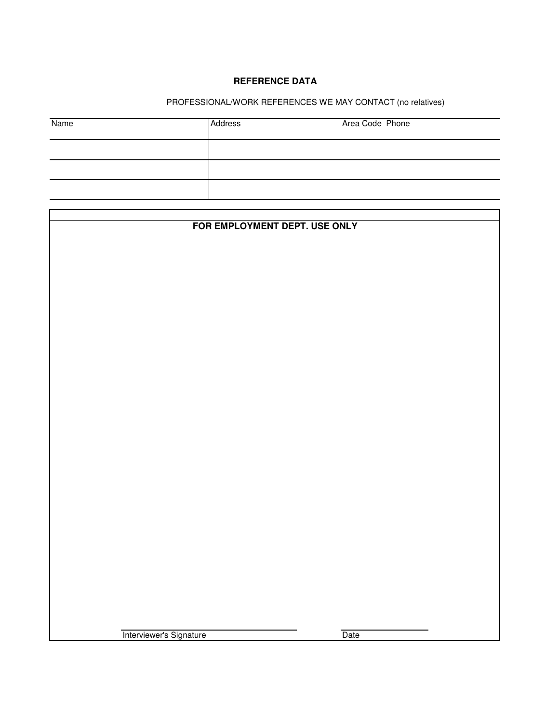# **REFERENCE DATA**

# PROFESSIONAL/WORK REFERENCES WE MAY CONTACT (no relatives)

| Name | Address | Area Code Phone |
|------|---------|-----------------|
|      |         |                 |
|      |         |                 |
|      |         |                 |

| FOR EMPLOYMENT DEPT. USE ONLY |      |  |  |  |  |
|-------------------------------|------|--|--|--|--|
|                               |      |  |  |  |  |
|                               |      |  |  |  |  |
|                               |      |  |  |  |  |
|                               |      |  |  |  |  |
|                               |      |  |  |  |  |
|                               |      |  |  |  |  |
|                               |      |  |  |  |  |
|                               |      |  |  |  |  |
|                               |      |  |  |  |  |
|                               |      |  |  |  |  |
|                               |      |  |  |  |  |
|                               |      |  |  |  |  |
|                               |      |  |  |  |  |
|                               |      |  |  |  |  |
|                               |      |  |  |  |  |
|                               |      |  |  |  |  |
|                               |      |  |  |  |  |
|                               |      |  |  |  |  |
|                               |      |  |  |  |  |
|                               |      |  |  |  |  |
|                               |      |  |  |  |  |
|                               |      |  |  |  |  |
|                               |      |  |  |  |  |
|                               |      |  |  |  |  |
|                               |      |  |  |  |  |
|                               |      |  |  |  |  |
|                               |      |  |  |  |  |
|                               |      |  |  |  |  |
|                               |      |  |  |  |  |
|                               |      |  |  |  |  |
|                               |      |  |  |  |  |
|                               |      |  |  |  |  |
|                               |      |  |  |  |  |
|                               |      |  |  |  |  |
|                               |      |  |  |  |  |
|                               |      |  |  |  |  |
|                               |      |  |  |  |  |
|                               |      |  |  |  |  |
| Interviewer's Signature       | Date |  |  |  |  |